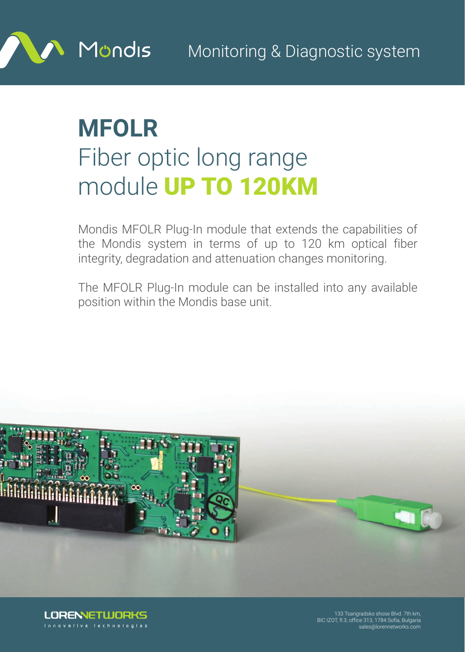

## **MFOLR** Fiber optic long range module UP TO 120KM

Mondis MFOLR Plug-In module that extends the capabilities of the Mondis system in terms of up to 120 km optical fiber integrity, degradation and attenuation changes monitoring.

The MFOLR Plug-In module can be installed into any available position within the Mondis base unit.





**LÜRENNETWORKS** innovative technologies

133 Tsarigradsko shose Blvd. 7th km, BIC IZOT, fl.3, office 313, 1784 Sofia, Bulgaria sales@lorennetworks.com